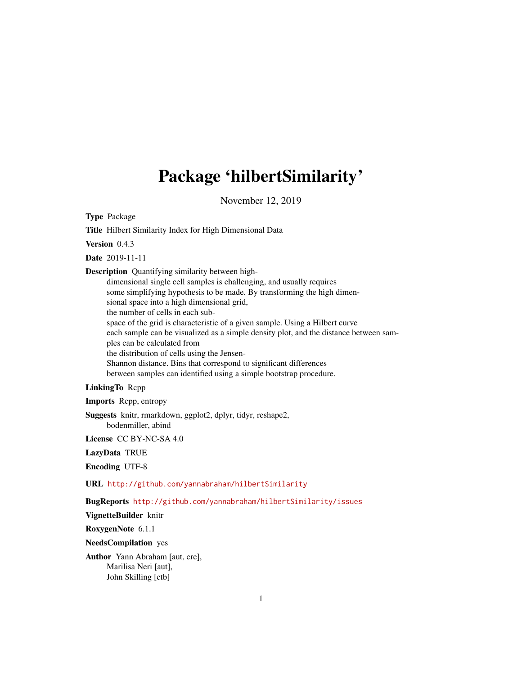## Package 'hilbertSimilarity'

November 12, 2019

<span id="page-0-0"></span>Type Package

Title Hilbert Similarity Index for High Dimensional Data Version 0.4.3 Date 2019-11-11 Description Quantifying similarity between highdimensional single cell samples is challenging, and usually requires some simplifying hypothesis to be made. By transforming the high dimensional space into a high dimensional grid, the number of cells in each subspace of the grid is characteristic of a given sample. Using a Hilbert curve each sample can be visualized as a simple density plot, and the distance between samples can be calculated from the distribution of cells using the Jensen-Shannon distance. Bins that correspond to significant differences between samples can identified using a simple bootstrap procedure.

#### LinkingTo Rcpp

Imports Rcpp, entropy

Suggests knitr, rmarkdown, ggplot2, dplyr, tidyr, reshape2, bodenmiller, abind

License CC BY-NC-SA 4.0

LazyData TRUE

Encoding UTF-8

URL <http://github.com/yannabraham/hilbertSimilarity>

BugReports <http://github.com/yannabraham/hilbertSimilarity/issues>

VignetteBuilder knitr

RoxygenNote 6.1.1

NeedsCompilation yes

Author Yann Abraham [aut, cre], Marilisa Neri [aut], John Skilling [ctb]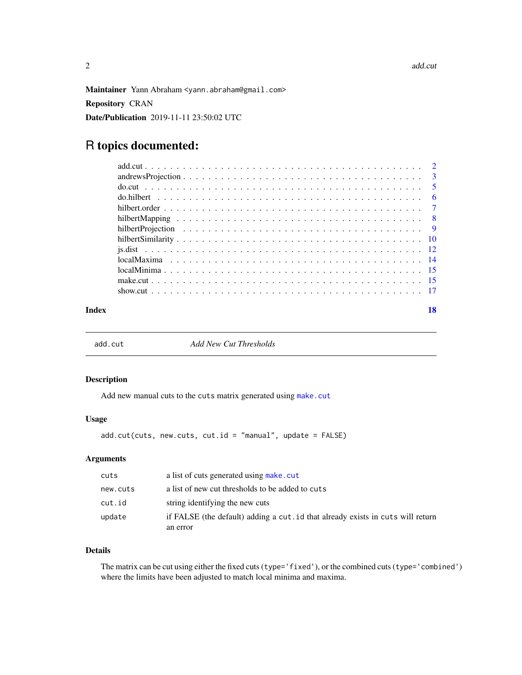<span id="page-1-0"></span>Maintainer Yann Abraham <yann.abraham@gmail.com> Repository CRAN Date/Publication 2019-11-11 23:50:02 UTC

### R topics documented:

| Index | 18 |
|-------|----|

add.cut *Add New Cut Thresholds*

### Description

Add new manual cuts to the cuts matrix generated using [make.cut](#page-14-1)

#### Usage

add.cut(cuts, new.cuts, cut.id = "manual", update = FALSE)

#### Arguments

| cuts     | a list of cuts generated using make, cut                                       |
|----------|--------------------------------------------------------------------------------|
| new.cuts | a list of new cut thresholds to be added to cuts                               |
| cut.id   | string identifying the new cuts                                                |
| update   | if FALSE (the default) adding a cut id that already exists in cuts will return |
|          | an error                                                                       |

### Details

The matrix can be cut using either the fixed cuts (type='fixed'), or the combined cuts (type='combined') where the limits have been adjusted to match local minima and maxima.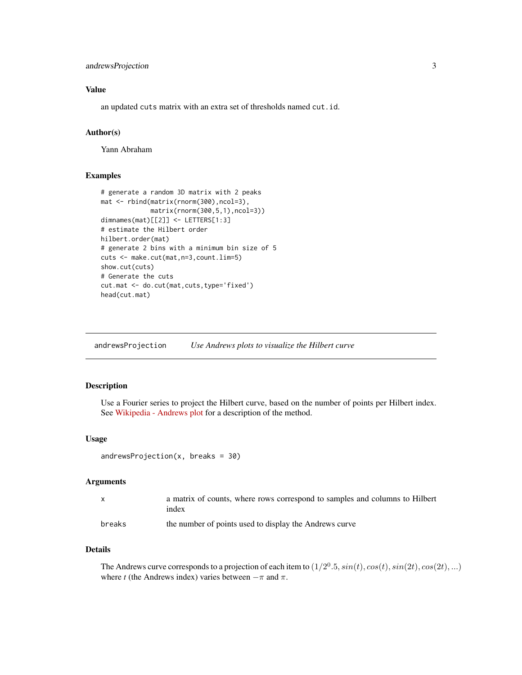#### <span id="page-2-0"></span>andrewsProjection 3

#### Value

an updated cuts matrix with an extra set of thresholds named cut.id.

#### Author(s)

Yann Abraham

#### Examples

```
# generate a random 3D matrix with 2 peaks
mat <- rbind(matrix(rnorm(300),ncol=3),
             matrix(rnorm(300,5,1),ncol=3))
dimnames(mat)[[2]] <- LETTERS[1:3]
# estimate the Hilbert order
hilbert.order(mat)
# generate 2 bins with a minimum bin size of 5
cuts <- make.cut(mat,n=3,count.lim=5)
show.cut(cuts)
# Generate the cuts
cut.mat <- do.cut(mat,cuts,type='fixed')
head(cut.mat)
```
andrewsProjection *Use Andrews plots to visualize the Hilbert curve*

#### Description

Use a Fourier series to project the Hilbert curve, based on the number of points per Hilbert index. See [Wikipedia - Andrews plot](https://en.wikipedia.org/wiki/Andrews_plot) for a description of the method.

#### Usage

```
andrewsProjection(x, breaks = 30)
```
#### Arguments

| $\mathbf{x}$ | a matrix of counts, where rows correspond to samples and columns to Hilbert<br>index |
|--------------|--------------------------------------------------------------------------------------|
| breaks       | the number of points used to display the Andrews curve                               |

#### Details

The Andrews curve corresponds to a projection of each item to  $(1/2^0.5, sin(t), cos(t), sin(2t), cos(2t), ...)$ where *t* (the Andrews index) varies between  $-\pi$  and  $\pi$ .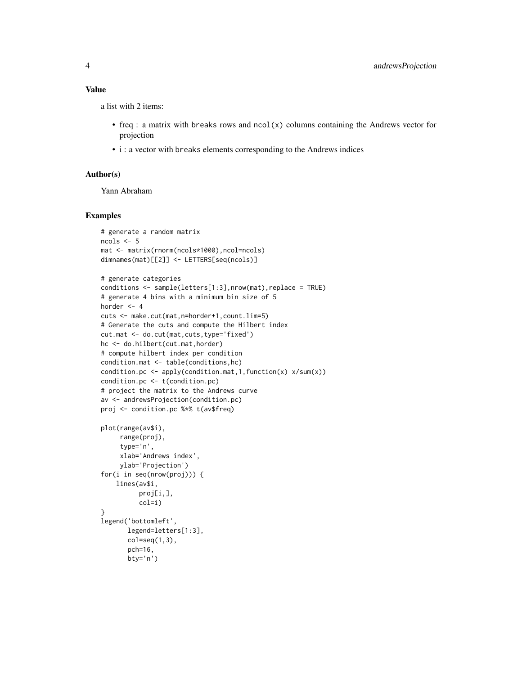#### Value

a list with 2 items:

- freq : a matrix with breaks rows and ncol(x) columns containing the Andrews vector for projection
- i : a vector with breaks elements corresponding to the Andrews indices

#### Author(s)

Yann Abraham

```
# generate a random matrix
ncols <- 5
mat <- matrix(rnorm(ncols*1000),ncol=ncols)
dimnames(mat)[[2]] <- LETTERS[seq(ncols)]
# generate categories
conditions <- sample(letters[1:3],nrow(mat),replace = TRUE)
# generate 4 bins with a minimum bin size of 5
horder <-4cuts <- make.cut(mat,n=horder+1,count.lim=5)
# Generate the cuts and compute the Hilbert index
cut.mat <- do.cut(mat,cuts,type='fixed')
hc <- do.hilbert(cut.mat,horder)
# compute hilbert index per condition
condition.mat <- table(conditions,hc)
condition.pc \leq apply(condition.mat, 1, function(x) x/\text{sum}(x))
condition.pc <- t(condition.pc)
# project the matrix to the Andrews curve
av <- andrewsProjection(condition.pc)
proj <- condition.pc %*% t(av$freq)
plot(range(av$i),
     range(proj),
     type='n',
     xlab='Andrews index',
    ylab='Projection')
for(i in seq(nrow(proj))) {
    lines(av$i,
          proj[i,],
          col=i)
}
legend('bottomleft',
       legend=letters[1:3],
       col=seq(1,3),
       pch=16,
       bty='n')
```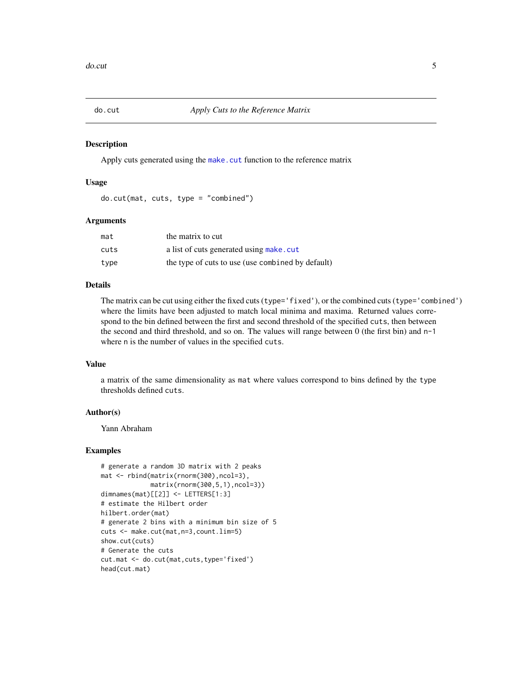<span id="page-4-1"></span><span id="page-4-0"></span>

Apply cuts generated using the [make.cut](#page-14-1) function to the reference matrix

#### Usage

do.cut(mat, cuts, type = "combined")

#### Arguments

| mat  | the matrix to cut                                 |
|------|---------------------------------------------------|
| cuts | a list of cuts generated using make.cut           |
| type | the type of cuts to use (use combined by default) |

#### Details

The matrix can be cut using either the fixed cuts (type='fixed'), or the combined cuts (type='combined') where the limits have been adjusted to match local minima and maxima. Returned values correspond to the bin defined between the first and second threshold of the specified cuts, then between the second and third threshold, and so on. The values will range between 0 (the first bin) and n-1 where n is the number of values in the specified cuts.

#### Value

a matrix of the same dimensionality as mat where values correspond to bins defined by the type thresholds defined cuts.

#### Author(s)

Yann Abraham

```
# generate a random 3D matrix with 2 peaks
mat <- rbind(matrix(rnorm(300),ncol=3),
            matrix(rnorm(300,5,1),ncol=3))
dimnames(mat)[[2]] <- LETTERS[1:3]
# estimate the Hilbert order
hilbert.order(mat)
# generate 2 bins with a minimum bin size of 5
cuts <- make.cut(mat,n=3,count.lim=5)
show.cut(cuts)
# Generate the cuts
cut.mat <- do.cut(mat,cuts,type='fixed')
head(cut.mat)
```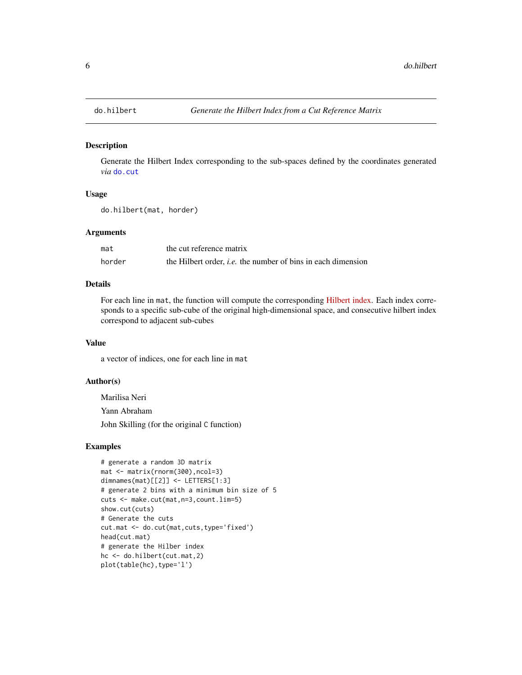<span id="page-5-1"></span><span id="page-5-0"></span>

Generate the Hilbert Index corresponding to the sub-spaces defined by the coordinates generated *via* [do.cut](#page-4-1)

#### Usage

do.hilbert(mat, horder)

#### Arguments

| mat    | the cut reference matrix                                            |
|--------|---------------------------------------------------------------------|
| horder | the Hilbert order, <i>i.e.</i> the number of bins in each dimension |

#### Details

For each line in mat, the function will compute the corresponding [Hilbert index.](https://en.wikipedia.org/wiki/Hilbert_curve) Each index corresponds to a specific sub-cube of the original high-dimensional space, and consecutive hilbert index correspond to adjacent sub-cubes

#### Value

a vector of indices, one for each line in mat

#### Author(s)

Marilisa Neri Yann Abraham John Skilling (for the original C function)

```
# generate a random 3D matrix
mat <- matrix(rnorm(300),ncol=3)
dimnames(mat)[[2]] <- LETTERS[1:3]
# generate 2 bins with a minimum bin size of 5
cuts <- make.cut(mat,n=3,count.lim=5)
show.cut(cuts)
# Generate the cuts
cut.mat <- do.cut(mat,cuts,type='fixed')
head(cut.mat)
# generate the Hilber index
hc <- do.hilbert(cut.mat,2)
plot(table(hc),type='l')
```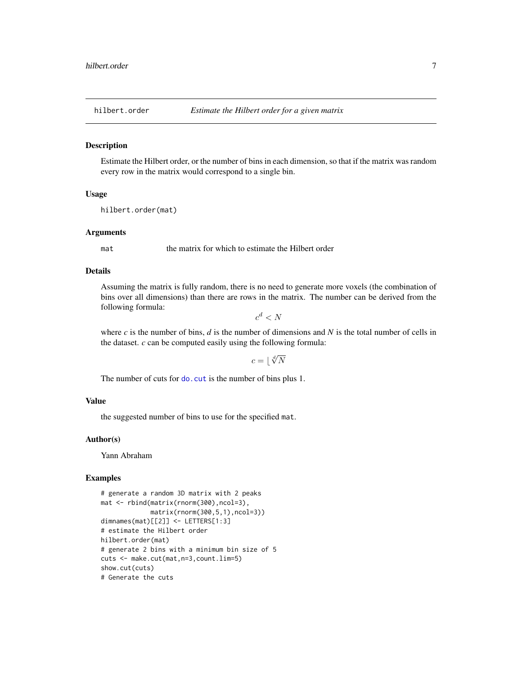<span id="page-6-0"></span>

Estimate the Hilbert order, or the number of bins in each dimension, so that if the matrix was random every row in the matrix would correspond to a single bin.

#### Usage

hilbert.order(mat)

#### Arguments

mat the matrix for which to estimate the Hilbert order

#### Details

Assuming the matrix is fully random, there is no need to generate more voxels (the combination of bins over all dimensions) than there are rows in the matrix. The number can be derived from the following formula:

 $c^d < N$ 

where *c* is the number of bins, *d* is the number of dimensions and *N* is the total number of cells in the dataset. *c* can be computed easily using the following formula:

 $c = \frac{d}{N}$ 

The number of cuts for [do.cut](#page-4-1) is the number of bins plus 1.

#### Value

the suggested number of bins to use for the specified mat.

#### Author(s)

Yann Abraham

```
# generate a random 3D matrix with 2 peaks
mat <- rbind(matrix(rnorm(300),ncol=3),
            matrix(rnorm(300,5,1),ncol=3))
dimnames(mat)[[2]] <- LETTERS[1:3]
# estimate the Hilbert order
hilbert.order(mat)
# generate 2 bins with a minimum bin size of 5
cuts <- make.cut(mat,n=3,count.lim=5)
show.cut(cuts)
# Generate the cuts
```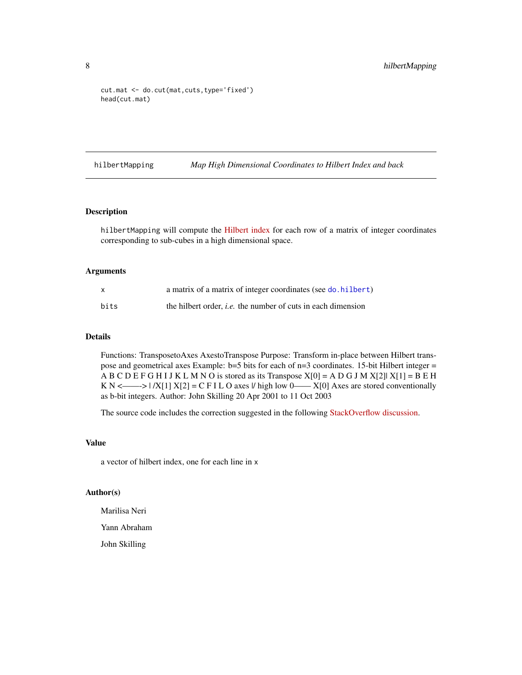```
cut.mat <- do.cut(mat,cuts,type='fixed')
head(cut.mat)
```
hilbertMapping *Map High Dimensional Coordinates to Hilbert Index and back*

#### Description

hilbertMapping will compute the [Hilbert index](https://en.wikipedia.org/wiki/Hilbert_curve) for each row of a matrix of integer coordinates corresponding to sub-cubes in a high dimensional space.

#### Arguments

| $\mathsf{x}$ | a matrix of a matrix of integer coordinates (see do. hilbert)       |
|--------------|---------------------------------------------------------------------|
| bits         | the hilbert order, <i>i.e.</i> the number of cuts in each dimension |

#### Details

Functions: TransposetoAxes AxestoTranspose Purpose: Transform in-place between Hilbert transpose and geometrical axes Example: b=5 bits for each of n=3 coordinates. 15-bit Hilbert integer = A B C D E F G H I J K L M N O is stored as its Transpose  $X[0] = A D G J M X[2] Y[1] = B E H$ K N <——->  $|/X[1] X[2] = C F I L O$  axes  $|/$  high low 0—— $X[0]$  Axes are stored conventionally as b-bit integers. Author: John Skilling 20 Apr 2001 to 11 Oct 2003

The source code includes the correction suggested in the following [StackOverflow discussion.](https://stackoverflow.com/a/10384110)

#### Value

a vector of hilbert index, one for each line in x

#### Author(s)

Marilisa Neri

Yann Abraham

John Skilling

<span id="page-7-0"></span>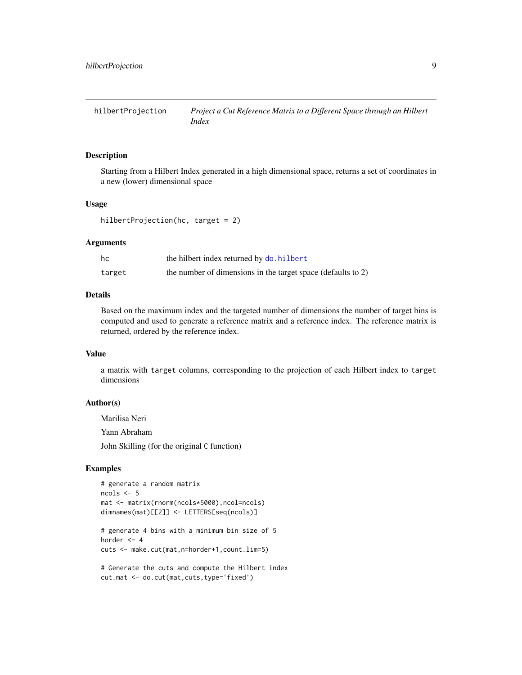<span id="page-8-0"></span>hilbertProjection *Project a Cut Reference Matrix to a Different Space through an Hilbert Index*

#### Description

Starting from a Hilbert Index generated in a high dimensional space, returns a set of coordinates in a new (lower) dimensional space

#### Usage

hilbertProjection(hc, target = 2)

#### Arguments

| hc     | the hilbert index returned by do. hilbert                    |
|--------|--------------------------------------------------------------|
| target | the number of dimensions in the target space (defaults to 2) |

#### Details

Based on the maximum index and the targeted number of dimensions the number of target bins is computed and used to generate a reference matrix and a reference index. The reference matrix is returned, ordered by the reference index.

#### Value

a matrix with target columns, corresponding to the projection of each Hilbert index to target dimensions

#### Author(s)

Marilisa Neri Yann Abraham

John Skilling (for the original C function)

```
# generate a random matrix
ncols <- 5
mat <- matrix(rnorm(ncols*5000),ncol=ncols)
dimnames(mat)[[2]] <- LETTERS[seq(ncols)]
```

```
# generate 4 bins with a minimum bin size of 5
horder <-4cuts <- make.cut(mat,n=horder+1,count.lim=5)
```

```
# Generate the cuts and compute the Hilbert index
cut.mat <- do.cut(mat,cuts,type='fixed')
```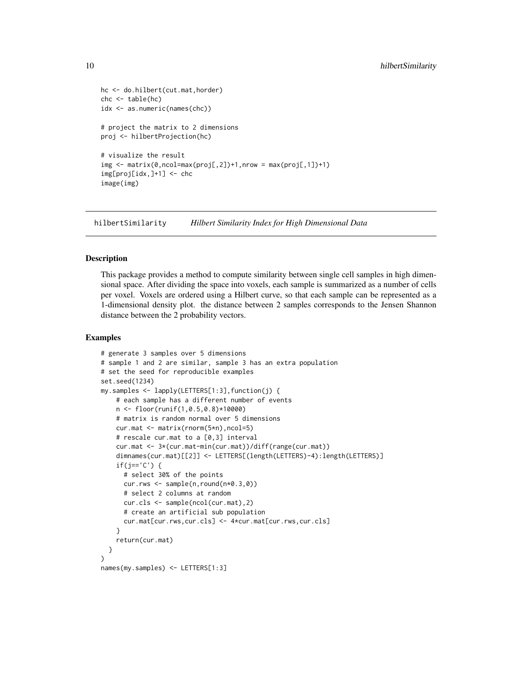```
hc <- do.hilbert(cut.mat,horder)
chc <- table(hc)
idx <- as.numeric(names(chc))
# project the matrix to 2 dimensions
proj <- hilbertProjection(hc)
# visualize the result
img \leftarrow matrix(0, ncol=max(proj[, 2]) + 1, nrow = max(proj[, 1]) + 1)img[proj[idx,]+1] <- chc
image(img)
```
hilbertSimilarity *Hilbert Similarity Index for High Dimensional Data*

#### **Description**

This package provides a method to compute similarity between single cell samples in high dimensional space. After dividing the space into voxels, each sample is summarized as a number of cells per voxel. Voxels are ordered using a Hilbert curve, so that each sample can be represented as a 1-dimensional density plot. the distance between 2 samples corresponds to the Jensen Shannon distance between the 2 probability vectors.

```
# generate 3 samples over 5 dimensions
# sample 1 and 2 are similar, sample 3 has an extra population
# set the seed for reproducible examples
set.seed(1234)
my.samples <- lapply(LETTERS[1:3],function(j) {
    # each sample has a different number of events
   n <- floor(runif(1,0.5,0.8)*10000)
   # matrix is random normal over 5 dimensions
   cur.mat <- matrix(rnorm(5*n),ncol=5)
    # rescale cur.mat to a [0,3] interval
   cur.mat <- 3*(cur.mat-min(cur.mat))/diff(range(cur.mat))
   dimnames(cur.mat)[[2]] <- LETTERS[(length(LETTERS)-4):length(LETTERS)]
    if(j=='C') {
     # select 30% of the points
     cur.rws <- sample(n,round(n*0.3,0))
     # select 2 columns at random
     cur.cls <- sample(ncol(cur.mat),2)
     # create an artificial sub population
     cur.mat[cur.rws,cur.cls] <- 4*cur.mat[cur.rws,cur.cls]
    }
   return(cur.mat)
 }
)
names(my.samples) <- LETTERS[1:3]
```
<span id="page-9-0"></span>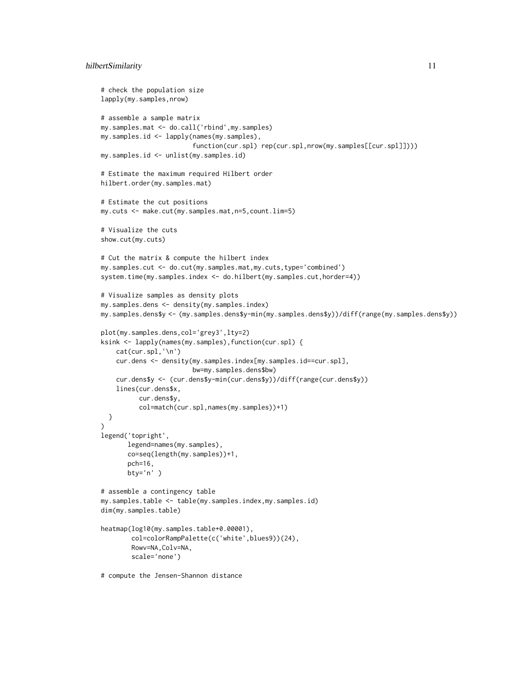```
# check the population size
lapply(my.samples,nrow)
# assemble a sample matrix
my.samples.mat <- do.call('rbind',my.samples)
my.samples.id <- lapply(names(my.samples),
                        function(cur.spl) rep(cur.spl,nrow(my.samples[[cur.spl]])))
my.samples.id <- unlist(my.samples.id)
# Estimate the maximum required Hilbert order
hilbert.order(my.samples.mat)
# Estimate the cut positions
my.cuts <- make.cut(my.samples.mat,n=5,count.lim=5)
# Visualize the cuts
show.cut(my.cuts)
# Cut the matrix & compute the hilbert index
my.samples.cut <- do.cut(my.samples.mat,my.cuts,type='combined')
system.time(my.samples.index <- do.hilbert(my.samples.cut,horder=4))
# Visualize samples as density plots
my.samples.dens <- density(my.samples.index)
my.samples.dens$y <- (my.samples.dens$y-min(my.samples.dens$y))/diff(range(my.samples.dens$y))
plot(my.samples.dens,col='grey3',lty=2)
ksink <- lapply(names(my.samples),function(cur.spl) {
    cat(cur.spl,'\n')
    cur.dens <- density(my.samples.index[my.samples.id==cur.spl],
                        bw=my.samples.dens$bw)
    cur.dens$y <- (cur.dens$y-min(cur.dens$y))/diff(range(cur.dens$y))
    lines(cur.dens$x,
         cur.dens$y,
          col=match(cur.spl,names(my.samples))+1)
 }
\lambdalegend('topright',
       legend=names(my.samples),
       co=seq(length(my.samples))+1,
       pch=16,
       bty='n' )
# assemble a contingency table
my.samples.table <- table(my.samples.index,my.samples.id)
dim(my.samples.table)
heatmap(log10(my.samples.table+0.00001),
        col=colorRampPalette(c('white',blues9))(24),
        Rowv=NA, Colv=NA,
        scale='none')
```
# compute the Jensen-Shannon distance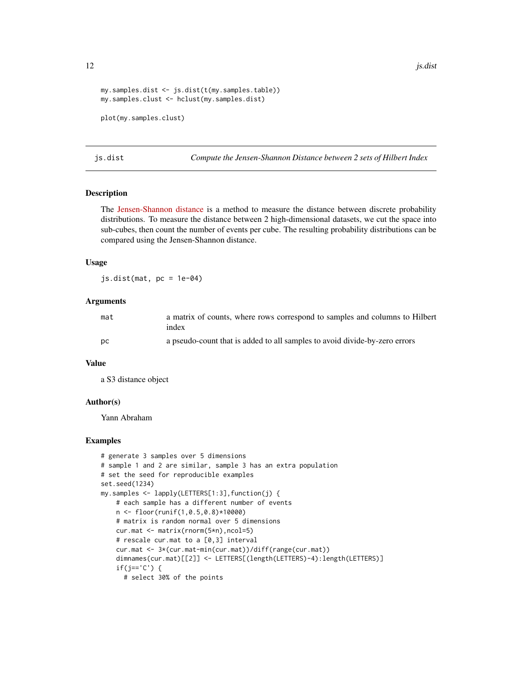```
my.samples.dist <- js.dist(t(my.samples.table))
my.samples.clust <- hclust(my.samples.dist)
plot(my.samples.clust)
```
js.dist *Compute the Jensen-Shannon Distance between 2 sets of Hilbert Index*

#### **Description**

The [Jensen-Shannon distance](https://en.wikipedia.org/wiki/Jensen-Shannon_divergence) is a method to measure the distance between discrete probability distributions. To measure the distance between 2 high-dimensional datasets, we cut the space into sub-cubes, then count the number of events per cube. The resulting probability distributions can be compared using the Jensen-Shannon distance.

#### Usage

 $js.dist(mat, pc = 1e-04)$ 

#### **Arguments**

| mat | a matrix of counts, where rows correspond to samples and columns to Hilbert<br>index |
|-----|--------------------------------------------------------------------------------------|
| DC. | a pseudo-count that is added to all samples to avoid divide-by-zero errors           |

#### Value

a S3 distance object

#### Author(s)

Yann Abraham

```
# generate 3 samples over 5 dimensions
# sample 1 and 2 are similar, sample 3 has an extra population
# set the seed for reproducible examples
set.seed(1234)
my.samples <- lapply(LETTERS[1:3],function(j) {
   # each sample has a different number of events
   n <- floor(runif(1,0.5,0.8)*10000)
   # matrix is random normal over 5 dimensions
   cur.mat <- matrix(rnorm(5*n),ncol=5)
    # rescale cur.mat to a [0,3] interval
   cur.mat <- 3*(cur.mat-min(cur.mat))/diff(range(cur.mat))
    dimnames(cur.mat)[[2]] <- LETTERS[(length(LETTERS)-4):length(LETTERS)]
    if(j=='C') {
     # select 30% of the points
```
<span id="page-11-0"></span>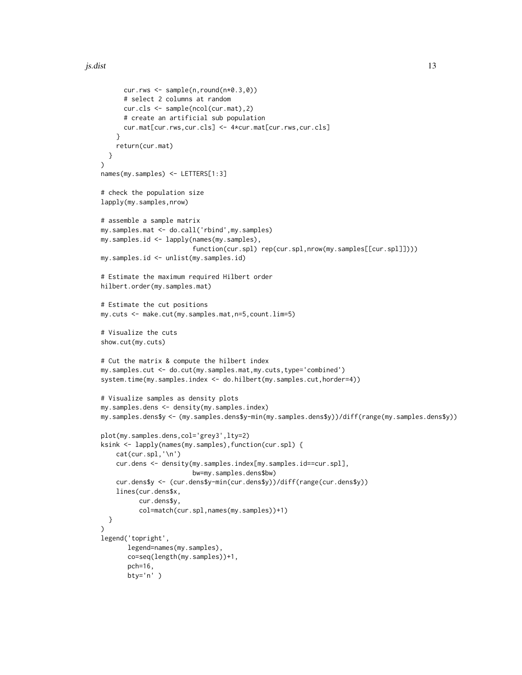```
cur.rws <- sample(n,round(n*0.3,0))
      # select 2 columns at random
      cur.cls <- sample(ncol(cur.mat),2)
      # create an artificial sub population
      cur.mat[cur.rws,cur.cls] <- 4*cur.mat[cur.rws,cur.cls]
   }
   return(cur.mat)
 }
\lambdanames(my.samples) <- LETTERS[1:3]
# check the population size
lapply(my.samples,nrow)
# assemble a sample matrix
my.samples.mat <- do.call('rbind',my.samples)
my.samples.id <- lapply(names(my.samples),
                        function(cur.spl) rep(cur.spl,nrow(my.samples[[cur.spl]])))
my.samples.id <- unlist(my.samples.id)
# Estimate the maximum required Hilbert order
hilbert.order(my.samples.mat)
# Estimate the cut positions
my.cuts <- make.cut(my.samples.mat,n=5,count.lim=5)
# Visualize the cuts
show.cut(my.cuts)
# Cut the matrix & compute the hilbert index
my.samples.cut <- do.cut(my.samples.mat,my.cuts,type='combined')
system.time(my.samples.index <- do.hilbert(my.samples.cut,horder=4))
# Visualize samples as density plots
my.samples.dens <- density(my.samples.index)
my.samples.dens$y <- (my.samples.dens$y-min(my.samples.dens$y))/diff(range(my.samples.dens$y))
plot(my.samples.dens,col='grey3',lty=2)
ksink <- lapply(names(my.samples),function(cur.spl) {
    cat(cur.spl,'\n')
    cur.dens <- density(my.samples.index[my.samples.id==cur.spl],
                        bw=my.samples.dens$bw)
    cur.dens$y <- (cur.dens$y-min(cur.dens$y))/diff(range(cur.dens$y))
    lines(cur.dens$x,
          cur.dens$y,
          col=match(cur.spl,names(my.samples))+1)
 }
\mathcal{L}legend('topright',
       legend=names(my.samples),
       co=seq(length(my.samples))+1,
       pch=16,
       bty='n' )
```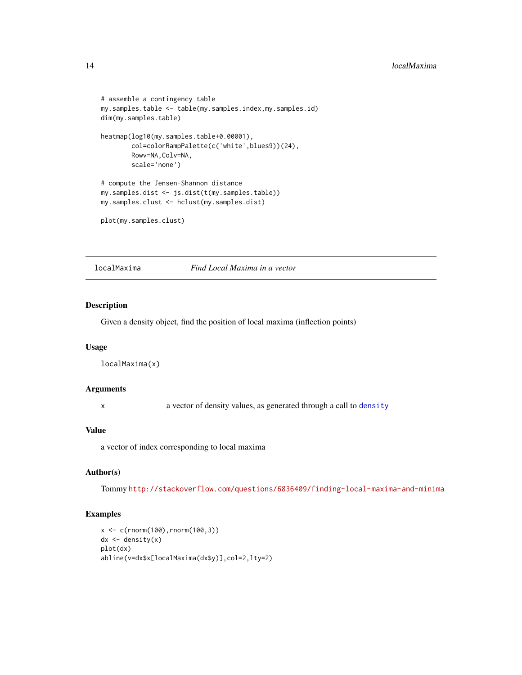```
# assemble a contingency table
my.samples.table <- table(my.samples.index,my.samples.id)
dim(my.samples.table)
heatmap(log10(my.samples.table+0.00001),
        col=colorRampPalette(c('white',blues9))(24),
        Rowv=NA, Colv=NA,
        scale='none')
# compute the Jensen-Shannon distance
my.samples.dist <- js.dist(t(my.samples.table))
my.samples.clust <- hclust(my.samples.dist)
```

```
plot(my.samples.clust)
```
<span id="page-13-1"></span>localMaxima *Find Local Maxima in a vector*

#### Description

Given a density object, find the position of local maxima (inflection points)

#### Usage

localMaxima(x)

#### Arguments

x a vector of density values, as generated through a call to [density](#page-0-0)

#### Value

a vector of index corresponding to local maxima

#### Author(s)

Tommy <http://stackoverflow.com/questions/6836409/finding-local-maxima-and-minima>

```
x <- c(rnorm(100),rnorm(100,3))
dx <- density(x)
plot(dx)
abline(v=dx$x[localMaxima(dx$y)],col=2,lty=2)
```
<span id="page-13-0"></span>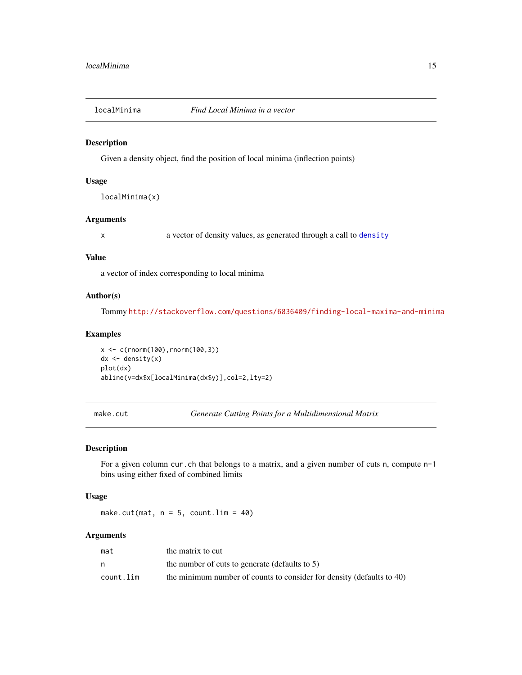<span id="page-14-2"></span><span id="page-14-0"></span>

Given a density object, find the position of local minima (inflection points)

#### Usage

localMinima(x)

#### Arguments

x a vector of density values, as generated through a call to [density](#page-0-0)

#### Value

a vector of index corresponding to local minima

#### Author(s)

Tommy <http://stackoverflow.com/questions/6836409/finding-local-maxima-and-minima>

#### Examples

x <- c(rnorm(100),rnorm(100,3))  $dx \leftarrow density(x)$ plot(dx) abline(v=dx\$x[localMinima(dx\$y)],col=2,lty=2)

<span id="page-14-1"></span>make.cut *Generate Cutting Points for a Multidimensional Matrix*

#### Description

For a given column cur.ch that belongs to a matrix, and a given number of cuts n, compute n-1 bins using either fixed of combined limits

#### Usage

make.cut(mat,  $n = 5$ , count.lim = 40)

#### Arguments

| mat       | the matrix to cut                                                     |
|-----------|-----------------------------------------------------------------------|
| n         | the number of cuts to generate (defaults to 5)                        |
| count.lim | the minimum number of counts to consider for density (defaults to 40) |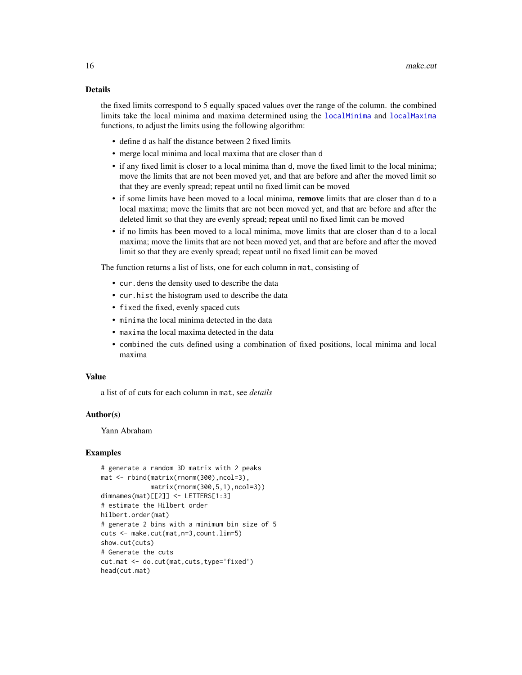#### <span id="page-15-0"></span>Details

the fixed limits correspond to 5 equally spaced values over the range of the column. the combined limits take the local minima and maxima determined using the [localMinima](#page-14-2) and [localMaxima](#page-13-1) functions, to adjust the limits using the following algorithm:

- define d as half the distance between 2 fixed limits
- merge local minima and local maxima that are closer than d
- if any fixed limit is closer to a local minima than d, move the fixed limit to the local minima; move the limits that are not been moved yet, and that are before and after the moved limit so that they are evenly spread; repeat until no fixed limit can be moved
- if some limits have been moved to a local minima, **remove** limits that are closer than d to a local maxima; move the limits that are not been moved yet, and that are before and after the deleted limit so that they are evenly spread; repeat until no fixed limit can be moved
- if no limits has been moved to a local minima, move limits that are closer than d to a local maxima; move the limits that are not been moved yet, and that are before and after the moved limit so that they are evenly spread; repeat until no fixed limit can be moved

The function returns a list of lists, one for each column in mat, consisting of

- cur.dens the density used to describe the data
- cur.hist the histogram used to describe the data
- fixed the fixed, evenly spaced cuts
- minima the local minima detected in the data
- maxima the local maxima detected in the data
- combined the cuts defined using a combination of fixed positions, local minima and local maxima

#### Value

a list of of cuts for each column in mat, see *details*

#### Author(s)

Yann Abraham

```
# generate a random 3D matrix with 2 peaks
mat <- rbind(matrix(rnorm(300),ncol=3),
            matrix(rnorm(300,5,1),ncol=3))
dimnames(mat)[[2]] <- LETTERS[1:3]
# estimate the Hilbert order
hilbert.order(mat)
# generate 2 bins with a minimum bin size of 5
cuts <- make.cut(mat,n=3,count.lim=5)
show.cut(cuts)
# Generate the cuts
cut.mat <- do.cut(mat,cuts,type='fixed')
head(cut.mat)
```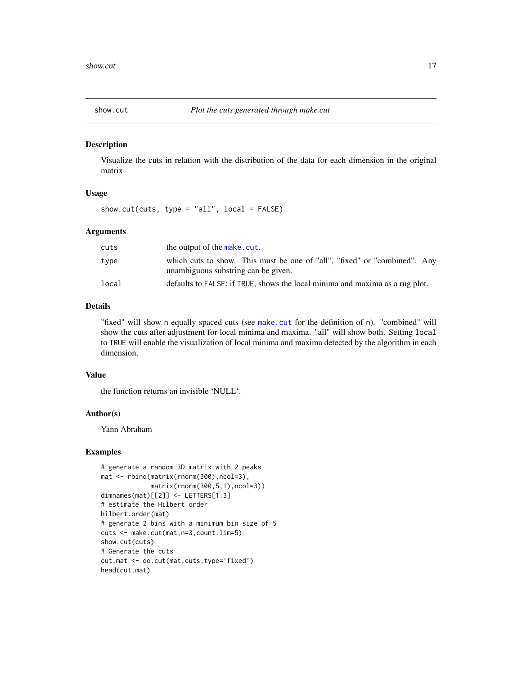<span id="page-16-0"></span>

Visualize the cuts in relation with the distribution of the data for each dimension in the original matrix

#### Usage

show.cut(cuts, type =  $"all", local = FALSE)$ 

#### **Arguments**

| cuts  | the output of the make.cut.                                                                                      |
|-------|------------------------------------------------------------------------------------------------------------------|
| type  | which cuts to show. This must be one of "all", "fixed" or "combined". Any<br>unambiguous substring can be given. |
| local | defaults to FALSE; if TRUE, shows the local minima and maxima as a rug plot.                                     |

#### Details

"fixed" will show n equally spaced cuts (see [make.cut](#page-14-1) for the definition of n). "combined" will show the cuts after adjustment for local minima and maxima. "all" will show both. Setting local to TRUE will enable the visualization of local minima and maxima detected by the algorithm in each dimension.

#### Value

the function returns an invisible 'NULL'.

#### Author(s)

Yann Abraham

```
# generate a random 3D matrix with 2 peaks
mat <- rbind(matrix(rnorm(300),ncol=3),
             matrix(rnorm(300,5,1),ncol=3))
dimnames(mat)[[2]] <- LETTERS[1:3]
# estimate the Hilbert order
hilbert.order(mat)
# generate 2 bins with a minimum bin size of 5
cuts <- make.cut(mat,n=3,count.lim=5)
show.cut(cuts)
# Generate the cuts
cut.mat <- do.cut(mat,cuts,type='fixed')
head(cut.mat)
```